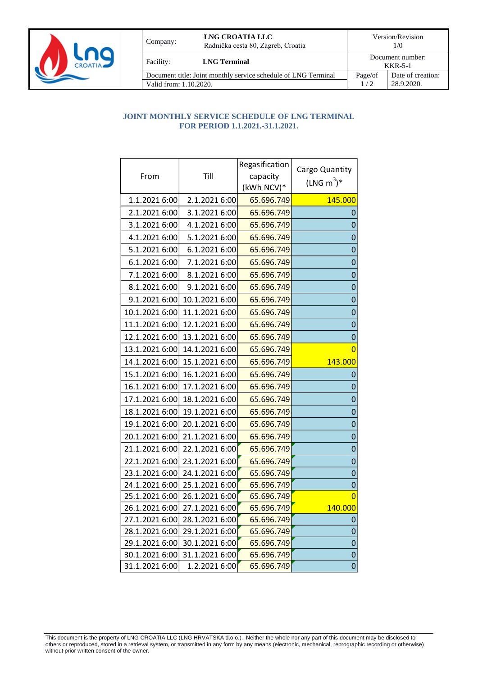

| Company:                                                                                 | LNG CROATIA LLC<br>Radnička cesta 80, Zagreb, Croatia | Version/Revision<br>1/0<br>Document number:<br><b>KKR-5-1</b> |                                 |
|------------------------------------------------------------------------------------------|-------------------------------------------------------|---------------------------------------------------------------|---------------------------------|
| Facility:                                                                                | <b>LNG Terminal</b>                                   |                                                               |                                 |
| Document title: Joint monthly service schedule of LNG Terminal<br>Valid from: 1.10.2020. |                                                       | Page/of<br>1/2                                                | Date of creation:<br>28.9.2020. |

## **JOINT MONTHLY SERVICE SCHEDULE OF LNG TERMINAL FOR PERIOD 1.1.2021.-31.1.2021.**

| From           | Till           | Regasification<br>capacity<br>(kWh NCV)* | Cargo Quantity<br>$(LNG m3)*$ |
|----------------|----------------|------------------------------------------|-------------------------------|
| 1.1.2021 6:00  | 2.1.2021 6:00  | 65.696.749                               | 145.000                       |
| 2.1.2021 6:00  | 3.1.2021 6:00  | 65.696.749                               | 0                             |
| 3.1.2021 6:00  | 4.1.2021 6:00  | 65.696.749                               | $\overline{0}$                |
| 4.1.2021 6:00  | 5.1.2021 6:00  | 65.696.749                               | $\mathbf 0$                   |
| 5.1.2021 6:00  | 6.1.2021 6:00  | 65.696.749                               | $\overline{0}$                |
| 6.1.2021 6:00  | 7.1.2021 6:00  | 65.696.749                               | $\mathbf 0$                   |
| 7.1.2021 6:00  | 8.1.2021 6:00  | 65.696.749                               | $\overline{0}$                |
| 8.1.2021 6:00  | 9.1.2021 6:00  | 65.696.749                               | $\mathbf 0$                   |
| 9.1.2021 6:00  | 10.1.2021 6:00 | 65.696.749                               | $\overline{0}$                |
| 10.1.2021 6:00 | 11.1.2021 6:00 | 65.696.749                               | $\overline{0}$                |
| 11.1.2021 6:00 | 12.1.2021 6:00 | 65.696.749                               | $\overline{0}$                |
| 12.1.2021 6:00 | 13.1.2021 6:00 | 65.696.749                               | $\bf{0}$                      |
| 13.1.2021 6:00 | 14.1.2021 6:00 | 65.696.749                               | $\overline{0}$                |
| 14.1.2021 6:00 | 15.1.2021 6:00 | 65.696.749                               | 143.000                       |
| 15.1.2021 6:00 | 16.1.2021 6:00 | 65.696.749                               | 0                             |
| 16.1.2021 6:00 | 17.1.2021 6:00 | 65.696.749                               | $\mathbf 0$                   |
| 17.1.2021 6:00 | 18.1.2021 6:00 | 65.696.749                               | $\overline{0}$                |
| 18.1.2021 6:00 | 19.1.2021 6:00 | 65.696.749                               | $\overline{0}$                |
| 19.1.2021 6:00 | 20.1.2021 6:00 | 65.696.749                               | $\overline{0}$                |
| 20.1.2021 6:00 | 21.1.2021 6:00 | 65.696.749                               | $\mathbf 0$                   |
| 21.1.2021 6:00 | 22.1.2021 6:00 | 65.696.749                               | $\overline{0}$                |
| 22.1.2021 6:00 | 23.1.2021 6:00 | 65.696.749                               | $\mathbf 0$                   |
| 23.1.2021 6:00 | 24.1.2021 6:00 | 65.696.749                               | $\overline{0}$                |
| 24.1.2021 6:00 | 25.1.2021 6:00 | 65.696.749                               | $\mathbf 0$                   |
| 25.1.2021 6:00 | 26.1.2021 6:00 | 65.696.749                               | $\overline{0}$                |
| 26.1.2021 6:00 | 27.1.2021 6:00 | 65.696.749                               | <u>140.000</u>                |
| 27.1.2021 6:00 | 28.1.2021 6:00 | 65.696.749                               | 0                             |
| 28.1.2021 6:00 | 29.1.2021 6:00 | 65.696.749                               | $\mathbf 0$                   |
| 29.1.2021 6:00 | 30.1.2021 6:00 | 65.696.749                               | $\mathbf 0$                   |
| 30.1.2021 6:00 | 31.1.2021 6:00 | 65.696.749                               | $\mathbf 0$                   |
| 31.1.2021 6:00 | 1.2.2021 6:00  | 65.696.749                               | 0                             |

This document is the property of LNG CROATIA LLC (LNG HRVATSKA d.o.o.). Neither the whole nor any part of this document may be disclosed to others or reproduced, stored in a retrieval system, or transmitted in any form by any means (electronic, mechanical, reprographic recording or otherwise) without prior written consent of the owner.